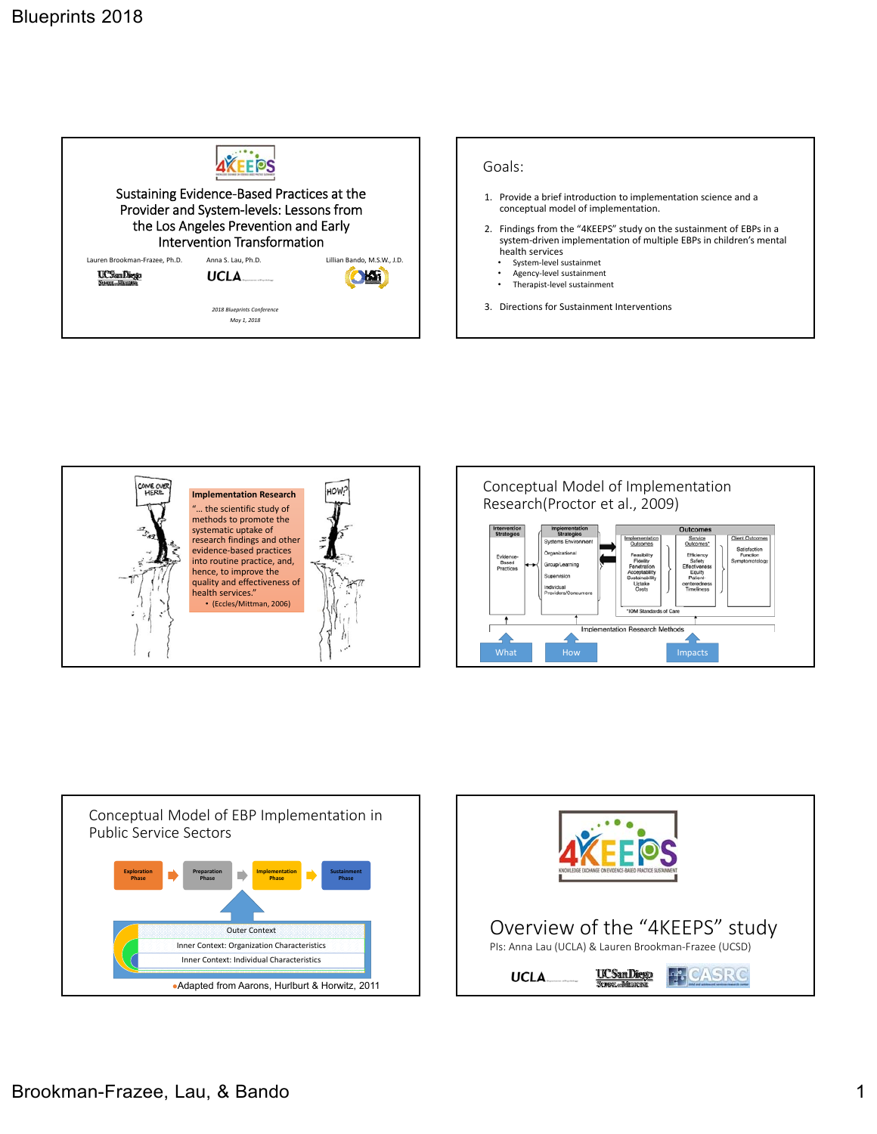









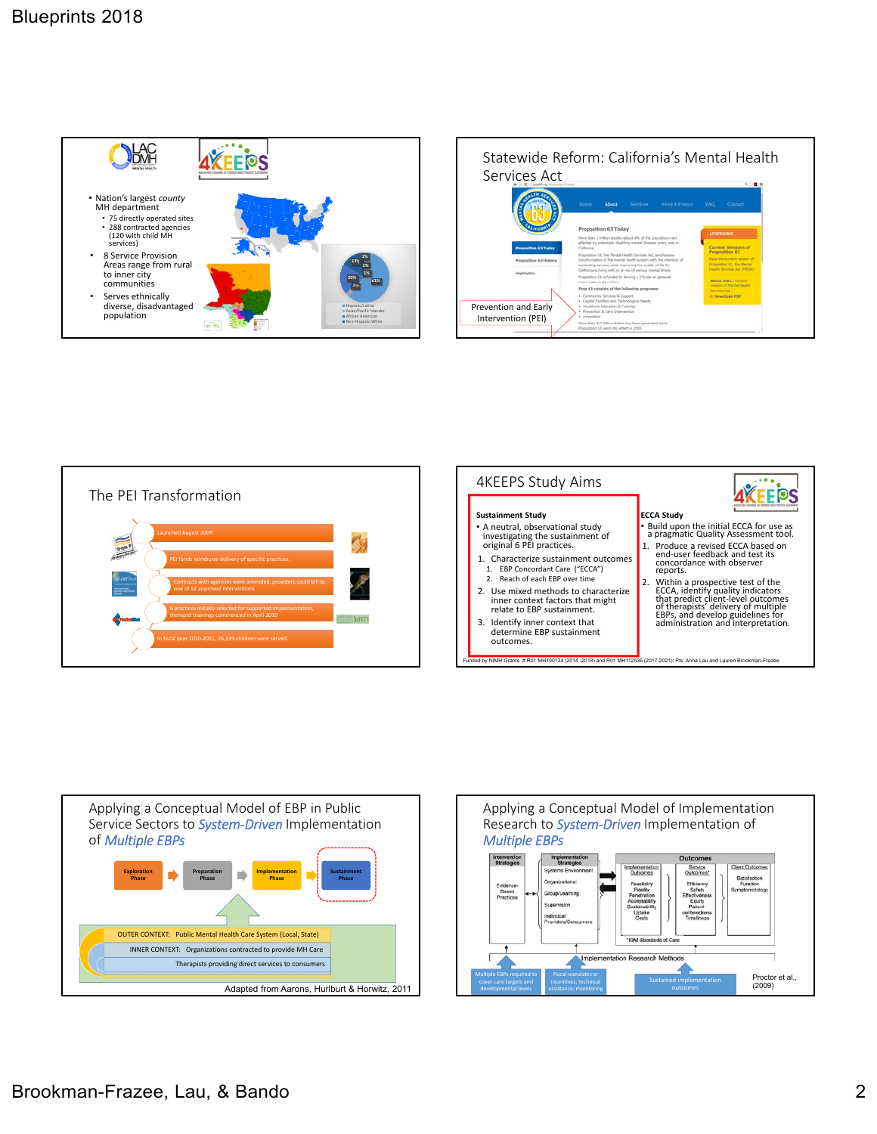











Brookman-Frazee, Lau, & Bando 2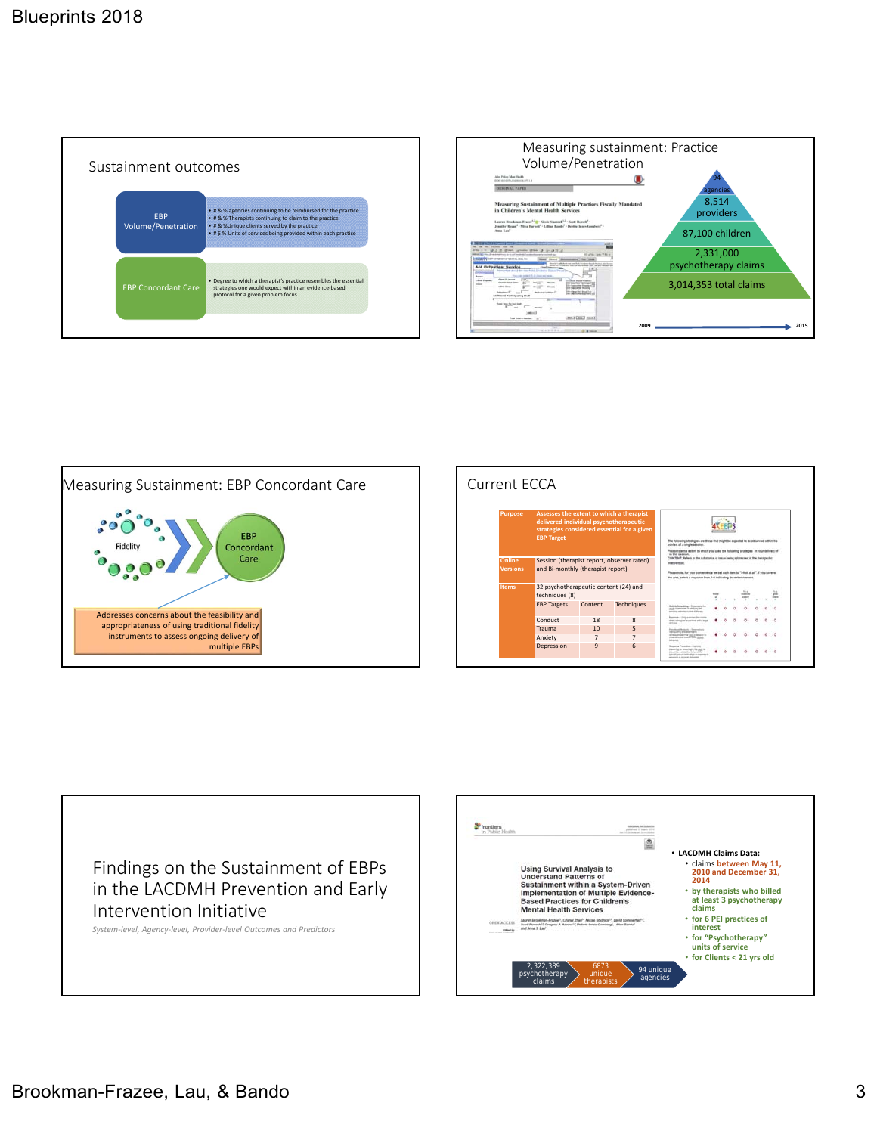









*System‐level, Agency‐level, Provider‐level Outcomes and Predictors*

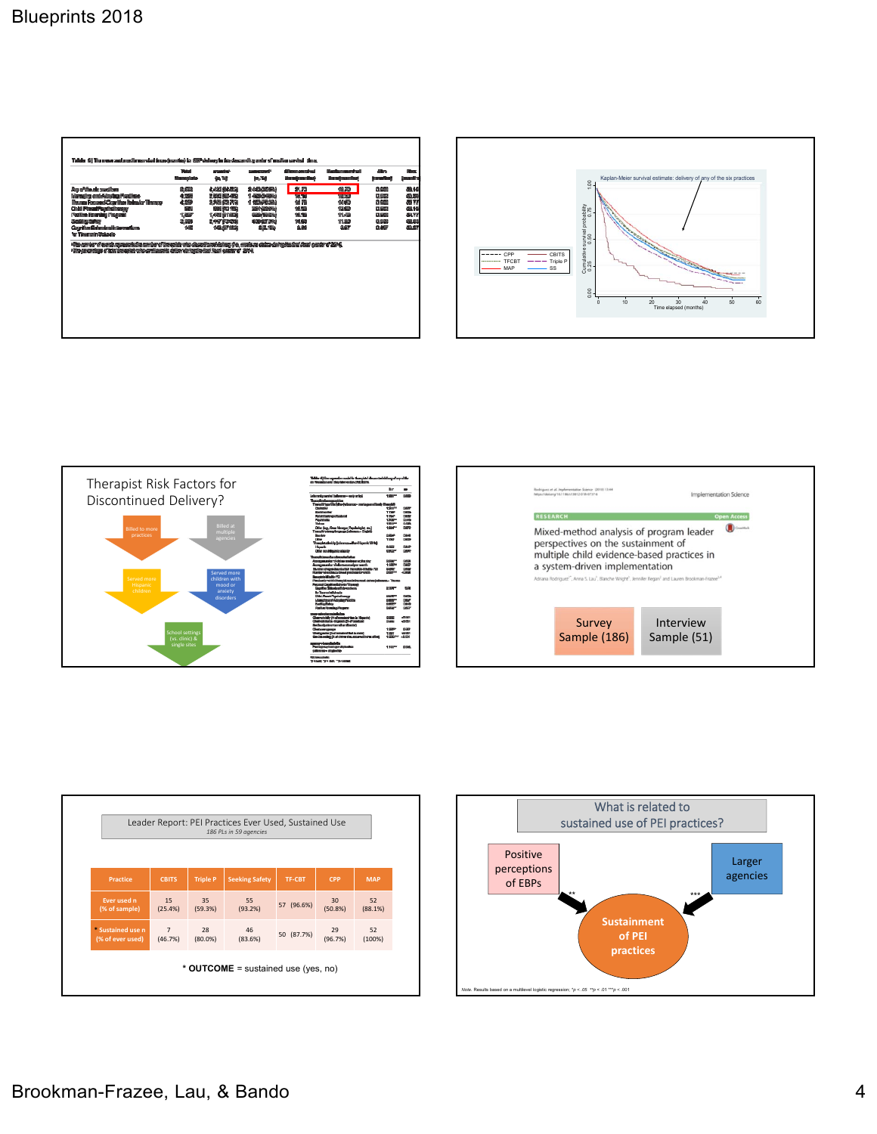









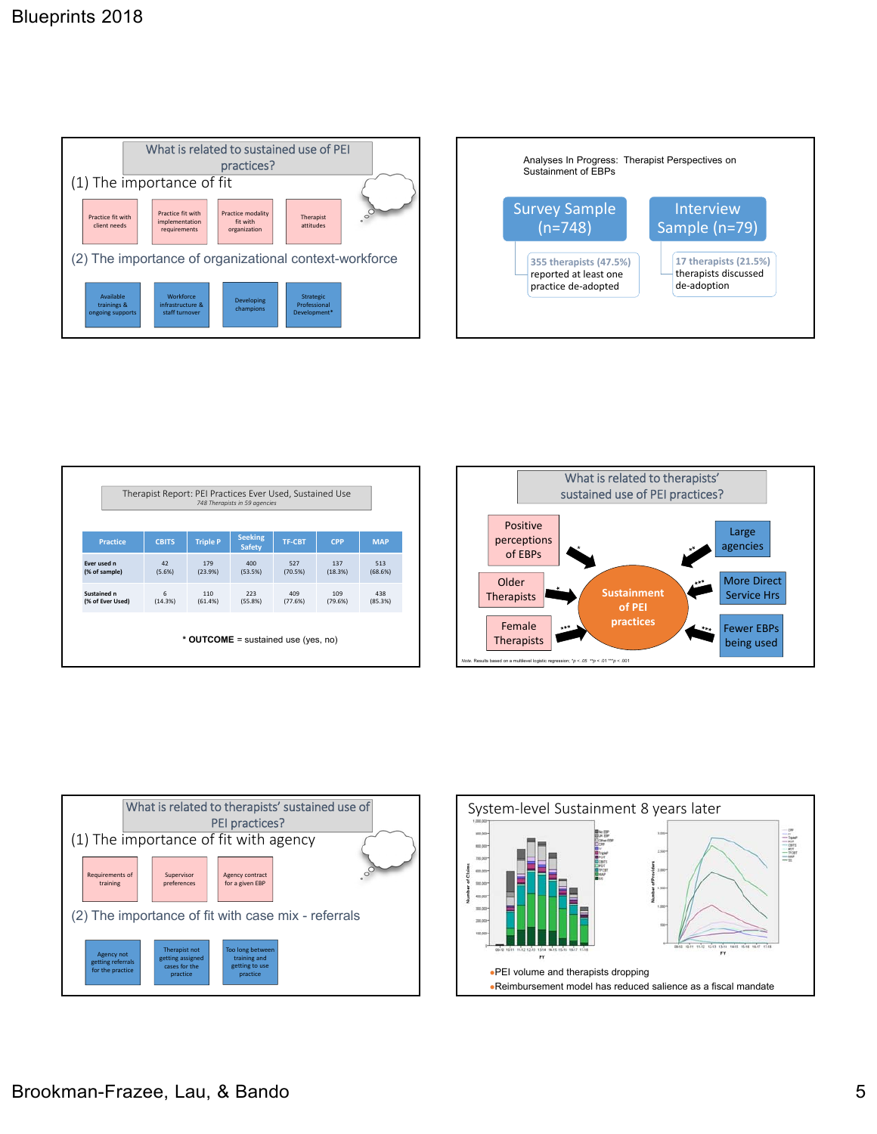



| Therapist Report: PEI Practices Ever Used, Sustained Use<br>748 Therapists in 59 agencies |              |                                     |                                 |                |                |                |
|-------------------------------------------------------------------------------------------|--------------|-------------------------------------|---------------------------------|----------------|----------------|----------------|
| <b>Practice</b>                                                                           | <b>CBITS</b> | <b>Triple P</b>                     | <b>Seeking</b><br><b>Safety</b> | <b>TF-CBT</b>  | <b>CPP</b>     | <b>MAP</b>     |
| Ever used n<br>(% of sample)                                                              | 42<br>(5.6%) | 179<br>(23.9%)                      | 400<br>(53.5%)                  | 527<br>(70.5%) | 137<br>(18.3%) | 513<br>(68.6%) |
| Sustained n<br>(% of Ever Used)                                                           | 6<br>(14.3%) | 110<br>(61.4%)                      | 223<br>(55.8%)                  | 409<br>(77.6%) | 109<br>(79.6%) | 438<br>(85.3%) |
|                                                                                           |              | * OUTCOME = sustained use (yes, no) |                                 |                |                |                |